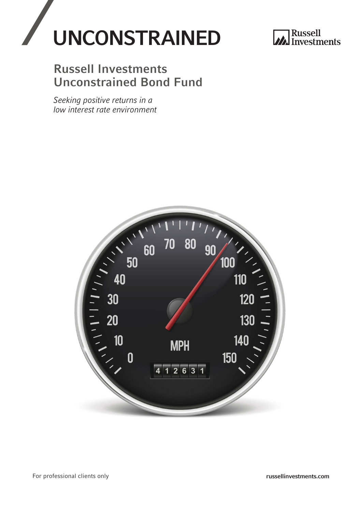



## Russell Investments Unconstrained Bond Fund

*Seeking positive returns in a low interest rate environment* 

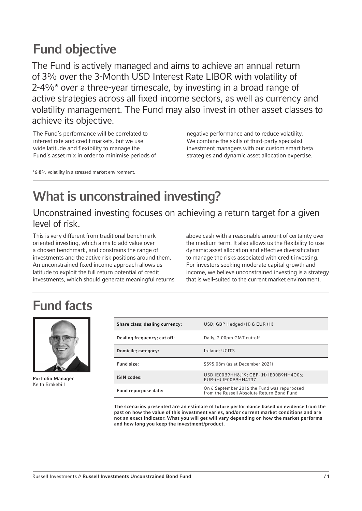## Fund objective

The Fund is actively managed and aims to achieve an annual return of 3% over the 3-Month USD Interest Rate LIBOR with volatility of 2-4%\* over a three-year timescale, by investing in a broad range of active strategies across all fixed income sectors, as well as currency and volatility management. The Fund may also invest in other asset classes to achieve its objective.

The Fund's performance will be correlated to interest rate and credit markets, but we use wide latitude and flexibility to manage the Fund's asset mix in order to minimise periods of negative performance and to reduce volatility. We combine the skills of third-party specialist investment managers with our custom smart beta strategies and dynamic asset allocation expertise.

\*6-8% volatility in a stressed market environment.

# What is unconstrained investing?

## Unconstrained investing focuses on achieving a return target for a given level of risk.

This is very different from traditional benchmark oriented investing, which aims to add value over a chosen benchmark, and constrains the range of investments and the active risk positions around them. An unconstrained fixed income approach allows us latitude to exploit the full return potential of credit investments, which should generate meaningful returns above cash with a reasonable amount of certainty over the medium term. It also allows us the flexibility to use dynamic asset allocation and effective diversification to manage the risks associated with credit investing. For investors seeking moderate capital growth and income, we believe unconstrained investing is a strategy that is well-suited to the current market environment.

# Fund facts



Portfolio Manager Keith Brakebill

| Share class; dealing currency: | USD; GBP Hedged (H) & EUR (H)                                                             |
|--------------------------------|-------------------------------------------------------------------------------------------|
| Dealing frequency; cut off:    | Daily; 2.00pm GMT cut-off                                                                 |
| Domicile; category:            | Ireland: UCITS                                                                            |
| Fund size:                     | \$595.08m (as at December 2021)                                                           |
| <b>ISIN</b> codes:             | USD IE00B9HH8J19; GBP-(H) IE00B9HH4Q06;<br>EUR-(H) IE00B9HH4T37                           |
| Fund repurpose date:           | On 6 September 2016 the Fund was repurposed<br>from the Russell Absolute Return Bond Fund |

The scenarios presented are an estimate of future performance based on evidence from the past on how the value of this investment varies, and/or current market conditions and are not an exact indicator. What you will get will vary depending on how the market performs and how long you keep the investment/product.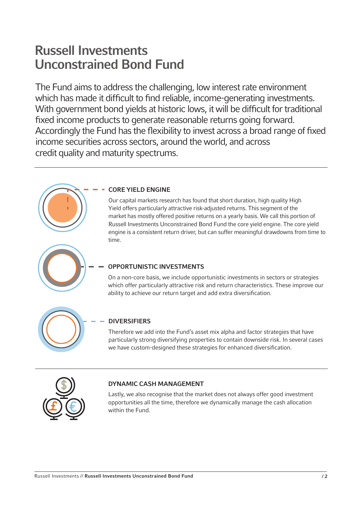## Russell Investments Unconstrained Bond Fund

The Fund aims to address the challenging, low interest rate environment which has made it difficult to find reliable, income-generating investments. With government bond yields at historic lows, it will be difficult for traditional fixed income products to generate reasonable returns going forward. Accordingly the Fund has the flexibility to invest across a broad range of fixed income securities across sectors, around the world, and across credit quality and maturity spectrums.



### CORE YIELD ENGINE

Our capital markets research has found that short duration, high quality High Yield offers particularly attractive risk-adjusted returns. This segment of the market has mostly offered positive returns on a yearly basis. We call this portion of Russell Investments Unconstrained Bond Fund the core yield engine. The core yield engine is a consistent return driver, but can suffer meaningful drawdowns from time to time.



### OPPORTUNISTIC INVESTMENTS

On a non-core basis, we include opportunistic investments in sectors or strategies which offer particularly attractive risk and return characteristics. These improve our ability to achieve our return target and add extra diversification.



### DIVERSIFIERS

Therefore we add into the Fund's asset mix alpha and factor strategies that have particularly strong diversifying properties to contain downside risk. In several cases we have custom-designed these strategies for enhanced diversification.



### DYNAMIC CASH MANAGEMENT

Lastly, we also recognise that the market does not always offer good investment opportunities all the time, therefore we dynamically manage the cash allocation within the Fund.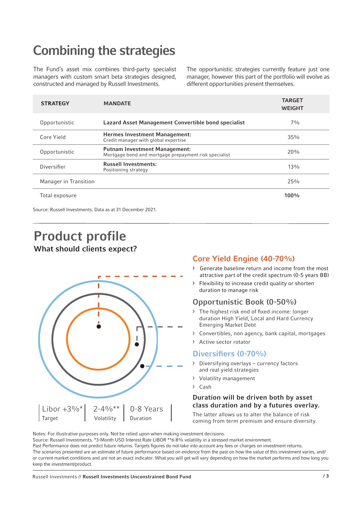# Combining the strategies

The Fund's asset mix combines third-party specialist managers with custom smart beta strategies designed, constructed and managed by Russell Investments.

The opportunistic strategies currently feature just one manager, however this part of the portfolio will evolve as different opportunities present themselves.

| <b>STRATEGY</b>       | <b>MANDATE</b>                                                                                | <b>TARGET</b><br><b>WEIGHT</b> |
|-----------------------|-----------------------------------------------------------------------------------------------|--------------------------------|
| Opportunistic         | Lazard Asset Management Convertible bond specialist                                           | $7\%$                          |
| Core Yield            | <b>Hermes Investment Management:</b><br>Credit manager with global expertise                  | 35%                            |
| Opportunistic         | <b>Putnam Investment Management:</b><br>Mortgage bond and mortgage prepayment risk specialist | 20%                            |
| Diversifier           | <b>Russell Investments:</b><br>Positioning strategy                                           | $13\%$                         |
| Manager in Transition |                                                                                               | 25%                            |
| Total exposure        |                                                                                               | $100\%$                        |

Source: Russell Investments. Data as at 31 December 2021.

## Product profile What should clients expect?



## Core Yield Engine (40-70%)

- › Generate baseline return and income from the most attractive part of the credit spectrum (0-5 years BB)
- › Flexibility to increase credit quality or shorten duration to manage risk

## Opportunistic Book (0-50%)

- › The highest risk end of fixed income: longer duration High Yield, Local and Hard Currency Emerging Market Debt
- › Convertibles, non agency, bank capital, mortgages
- › Active sector rotator

### Diversifiers (0-70%)

- › Diversifying overlays currency factors and real yield strategies
- › Volatility management
- › Cash

### Duration will be driven both by asset class duration and by a futures overlay.

The latter allows us to alter the balance of risk coming from term premium and ensure diversity.

Notes: For illustrative purposes only. Not be relied upon when making investment decisions.

Source: Russell Investments. \*3-Month USD Interest Rate LIBOR \*\*6-8% volatility in a stressed market environment.

Past Performance does not predict future returns. Targets figures do not take into account any fees or charges on investment returns. The scenarios presented are an estimate of future performance based on evidence from the past on how the value of this investment varies, and/ or current market conditions and are not an exact indicator. What you will get will vary depending on how the market performs and how long you keep the investment/product.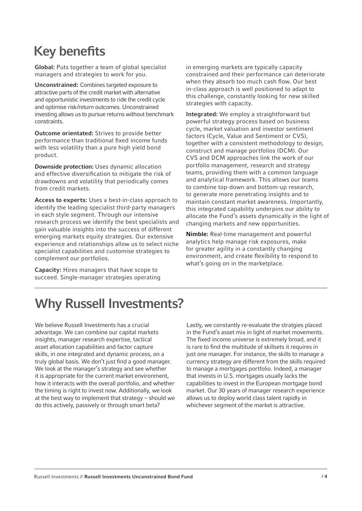# Key benefits

Global: Puts together a team of global specialist managers and strategies to work for you.

Unconstrained: Combines targeted exposure to attractive parts of the credit market with alternative and opportunistic investments to ride the credit cycle and optimise risk/return outcomes. Unconstrained investing allows us to pursue returns without benchmark constraints.

Outcome orientated: Strives to provide better performance than traditional fixed income funds with less volatility than a pure high yield bond product.

Downside protection: Uses dynamic allocation and effective diversification to mitigate the risk of drawdowns and volatility that periodically comes from credit markets.

Access to experts: Uses a best-in-class approach to identify the leading specialist third-party managers in each style segment. Through our intensive research process we identify the best specialists and gain valuable insights into the success of different emerging markets equity strategies. Our extensive experience and relationships allow us to select niche specialist capabilities and customise strategies to complement our portfolios.

Capacity: Hires managers that have scope to succeed. Single-manager strategies operating in emerging markets are typically capacity constrained and their performance can deteriorate when they absorb too much cash flow. Our best in-class approach is well positioned to adapt to this challenge, constantly looking for new skilled strategies with capacity.

Integrated: We employ a straightforward but powerful strategy process based on business cycle, market valuation and investor sentiment factors (Cycle, Value and Sentiment or CVS), together with a consistent methodology to design, construct and manage portfolios (DCM). Our CVS and DCM approaches link the work of our portfolio management, research and strategy teams, providing them with a common language and analytical framework. This allows our teams to combine top-down and bottom-up research, to generate more penetrating insights and to maintain constant market awareness. Importantly, this integrated capability underpins our ability to allocate the Fund's assets dynamically in the light of changing markets and new opportunities.

Nimble: Real-time management and powerful analytics help manage risk exposures, make for greater agility in a constantly changing environment, and create flexibility to respond to what's going on in the marketplace.

# Why Russell Investments?

We believe Russell Investments has a crucial advantage. We can combine our capital markets insights, manager research expertise, tactical asset allocation capabilities and factor capture skills, in one integrated and dynamic process, on a truly global basis. We don't just find a good manager. We look at the manager's strategy and see whether it is appropriate for the current market environment, how it interacts with the overall portfolio, and whether the timing is right to invest now. Additionally, we look at the best way to implement that strategy – should we do this actively, passively or through smart beta?

Lastly, we constantly re-evaluate the stratgies placed in the Fund's asset mix in light of market movements. The fixed income universe is extremely broad, and it is rare to find the multitude of skillsets it requires in just one manager. For instance, the skills to manage a currency strategy are different from the skills required to manage a mortgages portfolio. Indeed, a manager that invests in U.S. mortgages usually lacks the capabilities to invest in the European mortgage bond market. Our 30 years of manager research experience allows us to deploy world class talent rapidly in whichever segment of the market is attractive.